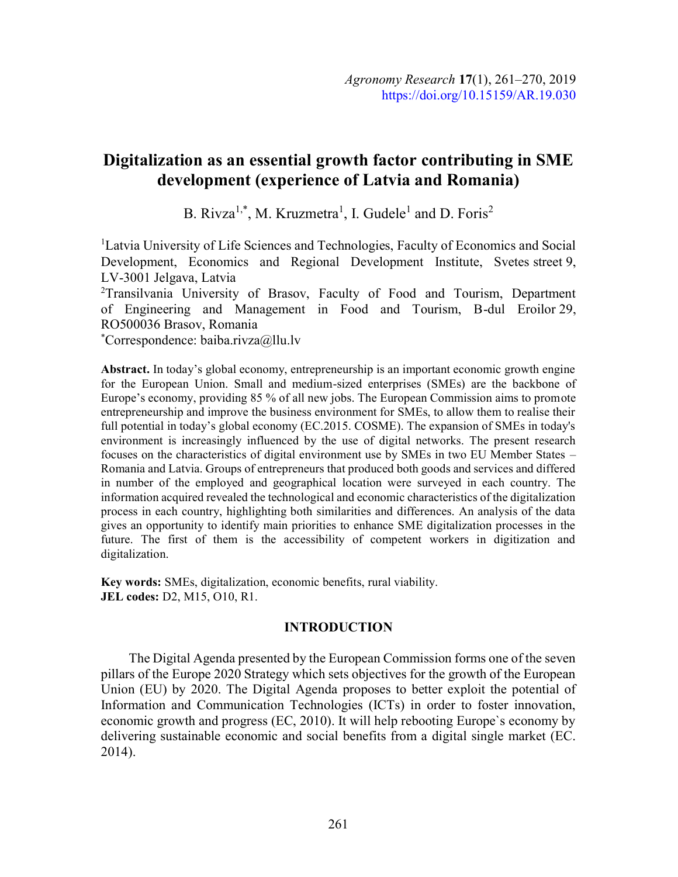# Digitalization as an essential growth factor contributing in SME development (experience of Latvia and Romania)

B. Rivza<sup>1,\*</sup>, M. Kruzmetra<sup>1</sup>, I. Gudele<sup>1</sup> and D. Foris<sup>2</sup>

<sup>1</sup> Latvia University of Life Sciences and Technologies, Faculty of Economics and Social Development, Economics and Regional Development Institute, Svetes street 9, LV-3001 Jelgava, Latvia

<sup>2</sup>Transilvania University of Brasov, Faculty of Food and Tourism, Department of Engineering and Management in Food and Tourism, B-dul Eroilor 29, RO500036 Brasov, Romania

\*Correspondence: baiba.rivza@llu.lv

Abstract. In today's global economy, entrepreneurship is an important economic growth engine for the European Union. Small and medium-sized enterprises (SMEs) are the backbone of Europe's economy, providing 85 % of all new jobs. The European Commission aims to promote entrepreneurship and improve the business environment for SMEs, to allow them to realise their full potential in today's global economy (EC.2015. COSME). The expansion of SMEs in today's environment is increasingly influenced by the use of digital networks. The present research focuses on the characteristics of digital environment use by SMEs in two EU Member States – Romania and Latvia. Groups of entrepreneurs that produced both goods and services and differed in number of the employed and geographical location were surveyed in each country. The information acquired revealed the technological and economic characteristics of the digitalization process in each country, highlighting both similarities and differences. An analysis of the data gives an opportunity to identify main priorities to enhance SME digitalization processes in the future. The first of them is the accessibility of competent workers in digitization and digitalization.

Key words: SMEs, digitalization, economic benefits, rural viability. JEL codes: D2, M15, O10, R1.

# INTRODUCTION

The Digital Agenda presented by the European Commission forms one of the seven pillars of the Europe 2020 Strategy which sets objectives for the growth of the European Union (EU) by 2020. The Digital Agenda proposes to better exploit the potential of Information and Communication Technologies (ICTs) in order to foster innovation, economic growth and progress (EC, 2010). It will help rebooting Europe`s economy by delivering sustainable economic and social benefits from a digital single market (EC. 2014).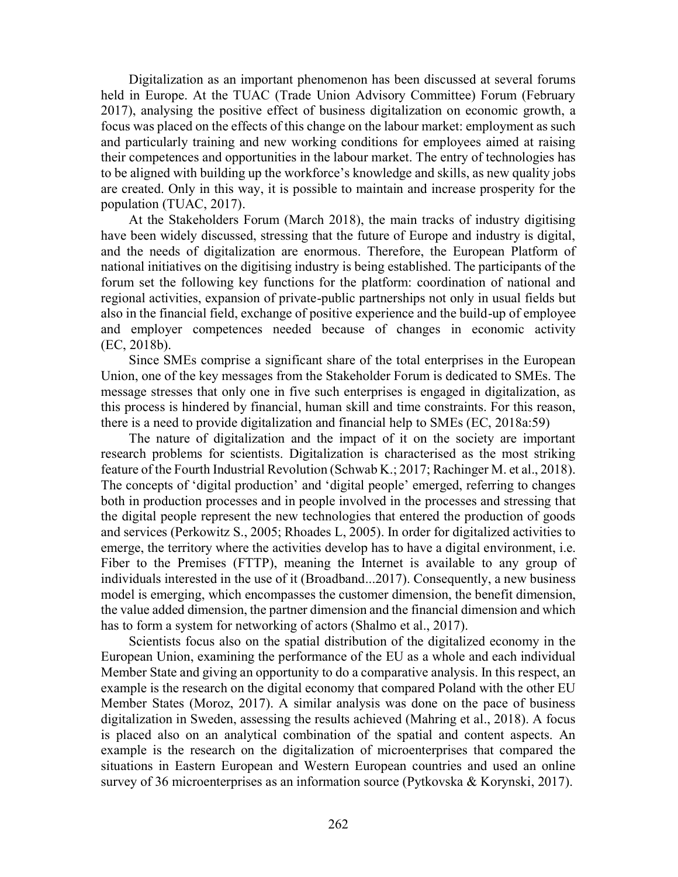Digitalization as an important phenomenon has been discussed at several forums held in Europe. At the TUAC (Trade Union Advisory Committee) Forum (February 2017), analysing the positive effect of business digitalization on economic growth, a focus was placed on the effects of this change on the labour market: employment as such and particularly training and new working conditions for employees aimed at raising their competences and opportunities in the labour market. The entry of technologies has to be aligned with building up the workforce's knowledge and skills, as new quality jobs are created. Only in this way, it is possible to maintain and increase prosperity for the population (TUAC, 2017).

At the Stakeholders Forum (March 2018), the main tracks of industry digitising have been widely discussed, stressing that the future of Europe and industry is digital, and the needs of digitalization are enormous. Therefore, the European Platform of national initiatives on the digitising industry is being established. The participants of the forum set the following key functions for the platform: coordination of national and regional activities, expansion of private-public partnerships not only in usual fields but also in the financial field, exchange of positive experience and the build-up of employee and employer competences needed because of changes in economic activity (EC, 2018b).

Since SMEs comprise a significant share of the total enterprises in the European Union, one of the key messages from the Stakeholder Forum is dedicated to SMEs. The message stresses that only one in five such enterprises is engaged in digitalization, as this process is hindered by financial, human skill and time constraints. For this reason, there is a need to provide digitalization and financial help to SMEs (EC, 2018a:59)

The nature of digitalization and the impact of it on the society are important research problems for scientists. Digitalization is characterised as the most striking feature of the Fourth Industrial Revolution (Schwab K.; 2017; Rachinger M. et al., 2018). The concepts of 'digital production' and 'digital people' emerged, referring to changes both in production processes and in people involved in the processes and stressing that the digital people represent the new technologies that entered the production of goods and services (Perkowitz S., 2005; Rhoades L, 2005). In order for digitalized activities to emerge, the territory where the activities develop has to have a digital environment, i.e. Fiber to the Premises (FTTP), meaning the Internet is available to any group of individuals interested in the use of it (Broadband...2017). Consequently, a new business model is emerging, which encompasses the customer dimension, the benefit dimension, the value added dimension, the partner dimension and the financial dimension and which has to form a system for networking of actors (Shalmo et al., 2017).

Scientists focus also on the spatial distribution of the digitalized economy in the European Union, examining the performance of the EU as a whole and each individual Member State and giving an opportunity to do a comparative analysis. In this respect, an example is the research on the digital economy that compared Poland with the other EU Member States (Moroz, 2017). A similar analysis was done on the pace of business digitalization in Sweden, assessing the results achieved (Mahring et al., 2018). A focus is placed also on an analytical combination of the spatial and content aspects. An example is the research on the digitalization of microenterprises that compared the situations in Eastern European and Western European countries and used an online survey of 36 microenterprises as an information source (Pytkovska & Korynski, 2017).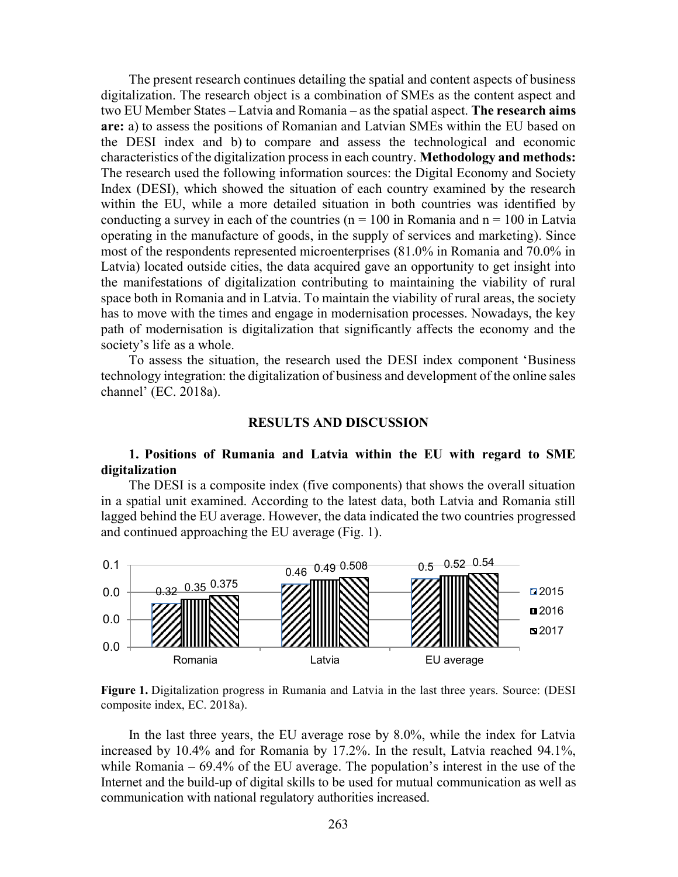The present research continues detailing the spatial and content aspects of business digitalization. The research object is a combination of SMEs as the content aspect and two EU Member States – Latvia and Romania – as the spatial aspect. The research aims are: a) to assess the positions of Romanian and Latvian SMEs within the EU based on the DESI index and b) to compare and assess the technological and economic characteristics of the digitalization process in each country. Methodology and methods: The research used the following information sources: the Digital Economy and Society Index (DESI), which showed the situation of each country examined by the research within the EU, while a more detailed situation in both countries was identified by conducting a survey in each of the countries ( $n = 100$  in Romania and  $n = 100$  in Latvia operating in the manufacture of goods, in the supply of services and marketing). Since most of the respondents represented microenterprises (81.0% in Romania and 70.0% in Latvia) located outside cities, the data acquired gave an opportunity to get insight into the manifestations of digitalization contributing to maintaining the viability of rural space both in Romania and in Latvia. To maintain the viability of rural areas, the society has to move with the times and engage in modernisation processes. Nowadays, the key path of modernisation is digitalization that significantly affects the economy and the society's life as a whole.

To assess the situation, the research used the DESI index component 'Business technology integration: the digitalization of business and development of the online sales channel' (EC. 2018a).

#### RESULTS AND DISCUSSION

## 1. Positions of Rumania and Latvia within the EU with regard to SME digitalization

The DESI is a composite index (five components) that shows the overall situation in a spatial unit examined. According to the latest data, both Latvia and Romania still lagged behind the EU average. However, the data indicated the two countries progressed and continued approaching the EU average (Fig. 1).



Figure 1. Digitalization progress in Rumania and Latvia in the last three years. Source: (DESI composite index, EC. 2018a).

In the last three years, the EU average rose by 8.0%, while the index for Latvia increased by 10.4% and for Romania by 17.2%. In the result, Latvia reached 94.1%, while Romania – 69.4% of the EU average. The population's interest in the use of the Internet and the build-up of digital skills to be used for mutual communication as well as communication with national regulatory authorities increased.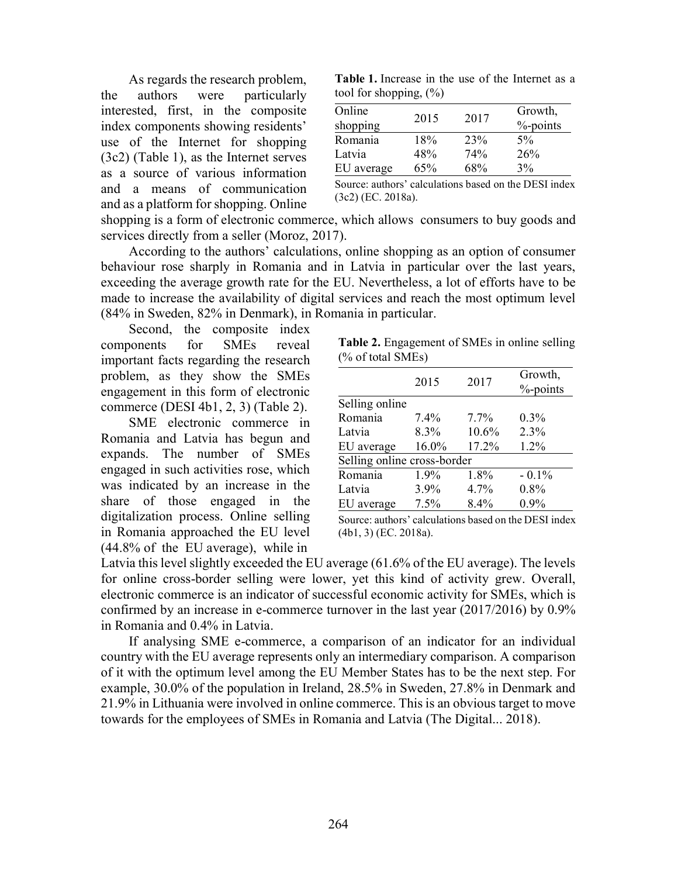As regards the research problem, the authors were particularly interested, first, in the composite index components showing residents' use of the Internet for shopping (3c2) (Table 1), as the Internet serves as a source of various information and a means of communication and as a platform for shopping. Online

Table 1. Increase in the use of the Internet as a tool for shopping,  $(\%)$ 

| Online<br>shopping | 2015 | 2017 | Growth,<br>$%$ -points |
|--------------------|------|------|------------------------|
| Romania            | 18%  | 23%  | 5%                     |
| Latvia             | 48%  | 74%  | 26%                    |
| EU average         | 65%  | 68%  | 3%                     |

Source: authors' calculations based on the DESI index (3c2) (EC. 2018a).

shopping is a form of electronic commerce, which allows consumers to buy goods and services directly from a seller (Moroz, 2017).

According to the authors' calculations, online shopping as an option of consumer behaviour rose sharply in Romania and in Latvia in particular over the last years, exceeding the average growth rate for the EU. Nevertheless, a lot of efforts have to be made to increase the availability of digital services and reach the most optimum level (84% in Sweden, 82% in Denmark), in Romania in particular.

Second, the composite index components for SMEs reveal important facts regarding the research problem, as they show the SMEs engagement in this form of electronic commerce (DESI 4b1, 2, 3) (Table 2).

SME electronic commerce in Romania and Latvia has begun and expands. The number of SMEs engaged in such activities rose, which was indicated by an increase in the share of those engaged in the digitalization process. Online selling in Romania approached the EU level (44.8% of the EU average), while in

Table 2. Engagement of SMEs in online selling (% of total SMEs)

|                             | 2015  | 2017    | Growth,<br>%-points |  |  |
|-----------------------------|-------|---------|---------------------|--|--|
| Selling online              |       |         |                     |  |  |
| Romania                     | 7.4%  | $7.7\%$ | 0.3%                |  |  |
| Latvia                      | 8.3%  | 10.6%   | 2.3%                |  |  |
| EU average                  | 16.0% | 17.2%   | 1.2%                |  |  |
| Selling online cross-border |       |         |                     |  |  |
| Romania                     | 1.9%  | 1.8%    | $-0.1\%$            |  |  |
| Latvia                      | 3.9%  | 4.7%    | 0.8%                |  |  |
| EU average                  | 7.5%  | 8.4%    | 0.9%                |  |  |

Source: authors' calculations based on the DESI index (4b1, 3) (EC. 2018a).

Latvia this level slightly exceeded the EU average (61.6% of the EU average). The levels for online cross-border selling were lower, yet this kind of activity grew. Overall, electronic commerce is an indicator of successful economic activity for SMEs, which is confirmed by an increase in e-commerce turnover in the last year (2017/2016) by 0.9% in Romania and 0.4% in Latvia.

If analysing SME e-commerce, a comparison of an indicator for an individual country with the EU average represents only an intermediary comparison. A comparison of it with the optimum level among the EU Member States has to be the next step. For example, 30.0% of the population in Ireland, 28.5% in Sweden, 27.8% in Denmark and 21.9% in Lithuania were involved in online commerce. This is an obvious target to move towards for the employees of SMEs in Romania and Latvia (The Digital... 2018).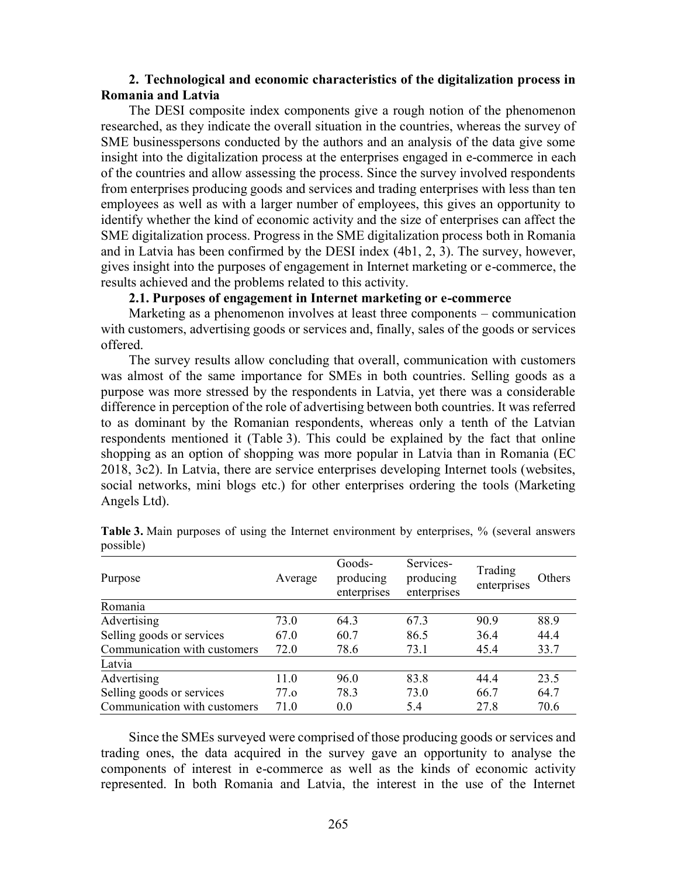# 2. Technological and economic characteristics of the digitalization process in Romania and Latvia

The DESI composite index components give a rough notion of the phenomenon researched, as they indicate the overall situation in the countries, whereas the survey of SME businesspersons conducted by the authors and an analysis of the data give some insight into the digitalization process at the enterprises engaged in e-commerce in each of the countries and allow assessing the process. Since the survey involved respondents from enterprises producing goods and services and trading enterprises with less than ten employees as well as with a larger number of employees, this gives an opportunity to identify whether the kind of economic activity and the size of enterprises can affect the SME digitalization process. Progress in the SME digitalization process both in Romania and in Latvia has been confirmed by the DESI index (4b1, 2, 3). The survey, however, gives insight into the purposes of engagement in Internet marketing or e-commerce, the results achieved and the problems related to this activity.

## 2.1. Purposes of engagement in Internet marketing or e-commerce

Marketing as a phenomenon involves at least three components – communication with customers, advertising goods or services and, finally, sales of the goods or services offered.

The survey results allow concluding that overall, communication with customers was almost of the same importance for SMEs in both countries. Selling goods as a purpose was more stressed by the respondents in Latvia, yet there was a considerable difference in perception of the role of advertising between both countries. It was referred to as dominant by the Romanian respondents, whereas only a tenth of the Latvian respondents mentioned it (Table 3). This could be explained by the fact that online shopping as an option of shopping was more popular in Latvia than in Romania (EC 2018, 3c2). In Latvia, there are service enterprises developing Internet tools (websites, social networks, mini blogs etc.) for other enterprises ordering the tools (Marketing Angels Ltd).

| Purpose                      | Average          | Goods-<br>producing<br>enterprises | Services-<br>producing<br>enterprises | Trading<br>enterprises | Others |
|------------------------------|------------------|------------------------------------|---------------------------------------|------------------------|--------|
| Romania                      |                  |                                    |                                       |                        |        |
| Advertising                  | 73.0             | 64.3                               | 67.3                                  | 90.9                   | 88.9   |
| Selling goods or services    | 67.0             | 60.7                               | 86.5                                  | 36.4                   | 44.4   |
| Communication with customers | 72.0             | 78.6                               | 73.1                                  | 45.4                   | 33.7   |
| Latvia                       |                  |                                    |                                       |                        |        |
| Advertising                  | 11.0             | 96.0                               | 83.8                                  | 44.4                   | 23.5   |
| Selling goods or services    | 77 <sub>.Q</sub> | 78.3                               | 73.0                                  | 66.7                   | 64.7   |
| Communication with customers | 71.0             | 0.0                                | 5.4                                   | 27.8                   | 70.6   |

Table 3. Main purposes of using the Internet environment by enterprises, % (several answers possible)

Since the SMEs surveyed were comprised of those producing goods or services and trading ones, the data acquired in the survey gave an opportunity to analyse the components of interest in e-commerce as well as the kinds of economic activity represented. In both Romania and Latvia, the interest in the use of the Internet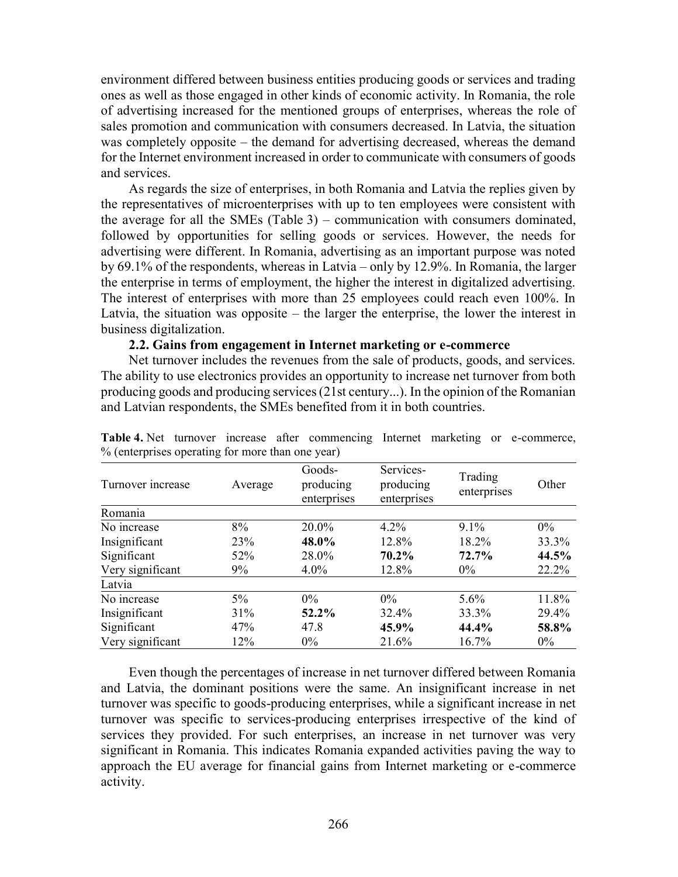environment differed between business entities producing goods or services and trading ones as well as those engaged in other kinds of economic activity. In Romania, the role of advertising increased for the mentioned groups of enterprises, whereas the role of sales promotion and communication with consumers decreased. In Latvia, the situation was completely opposite – the demand for advertising decreased, whereas the demand for the Internet environment increased in order to communicate with consumers of goods and services.

As regards the size of enterprises, in both Romania and Latvia the replies given by the representatives of microenterprises with up to ten employees were consistent with the average for all the SMEs (Table 3) – communication with consumers dominated, followed by opportunities for selling goods or services. However, the needs for advertising were different. In Romania, advertising as an important purpose was noted by 69.1% of the respondents, whereas in Latvia – only by 12.9%. In Romania, the larger the enterprise in terms of employment, the higher the interest in digitalized advertising. The interest of enterprises with more than 25 employees could reach even 100%. In Latvia, the situation was opposite – the larger the enterprise, the lower the interest in business digitalization.

#### 2.2. Gains from engagement in Internet marketing or e-commerce

Net turnover includes the revenues from the sale of products, goods, and services. The ability to use electronics provides an opportunity to increase net turnover from both producing goods and producing services (21st century...). In the opinion of the Romanian and Latvian respondents, the SMEs benefited from it in both countries.

| $\frac{1}{2}$ (enterprises operating for frore than one fear) |         |                                    |                                       |                        |       |
|---------------------------------------------------------------|---------|------------------------------------|---------------------------------------|------------------------|-------|
| Turnover increase                                             | Average | Goods-<br>producing<br>enterprises | Services-<br>producing<br>enterprises | Trading<br>enterprises | Other |
| Romania                                                       |         |                                    |                                       |                        |       |
| No increase                                                   | 8%      | 20.0%                              | $4.2\%$                               | $9.1\%$                | $0\%$ |
| Insignificant                                                 | 23%     | 48.0%                              | 12.8%                                 | 18.2%                  | 33.3% |
| Significant                                                   | 52%     | 28.0%                              | $70.2\%$                              | 72.7%                  | 44.5% |
| Very significant                                              | 9%      | $4.0\%$                            | 12.8%                                 | $0\%$                  | 22.2% |
| Latvia                                                        |         |                                    |                                       |                        |       |
| No increase                                                   | $5\%$   | $0\%$                              | $0\%$                                 | $5.6\%$                | 11.8% |
| Insignificant                                                 | 31%     | 52.2%                              | 32.4%                                 | 33.3%                  | 29.4% |
| Significant                                                   | 47%     | 47.8                               | 45.9%                                 | 44.4%                  | 58.8% |
| Very significant                                              | 12%     | $0\%$                              | 21.6%                                 | 16.7%                  | $0\%$ |

Table 4. Net turnover increase after commencing Internet marketing or e-commerce, % (enterprises operating for more than one year)

Even though the percentages of increase in net turnover differed between Romania and Latvia, the dominant positions were the same. An insignificant increase in net turnover was specific to goods-producing enterprises, while a significant increase in net turnover was specific to services-producing enterprises irrespective of the kind of services they provided. For such enterprises, an increase in net turnover was very significant in Romania. This indicates Romania expanded activities paving the way to approach the EU average for financial gains from Internet marketing or e-commerce activity.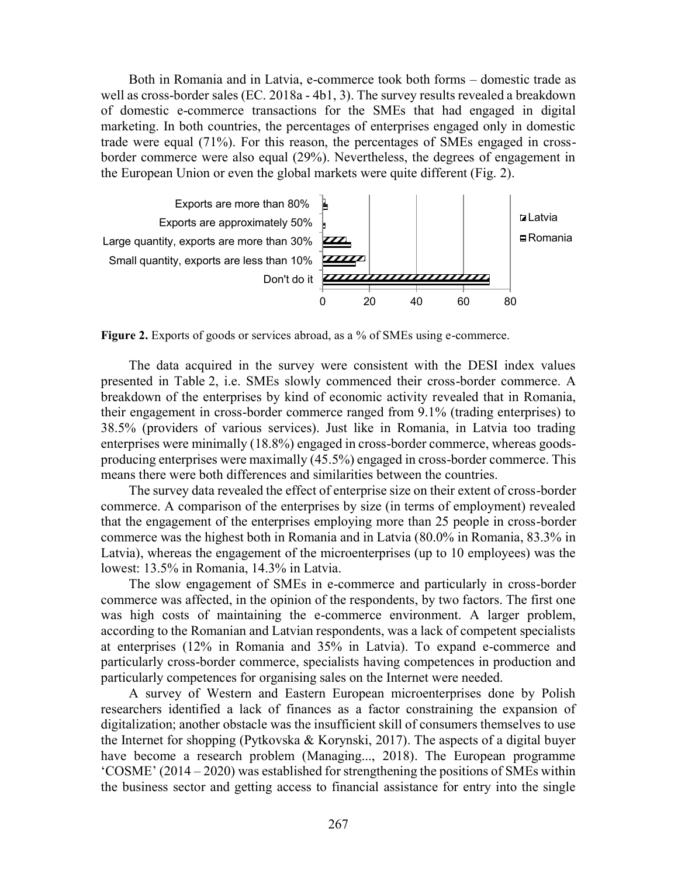Both in Romania and in Latvia, e-commerce took both forms – domestic trade as well as cross-border sales (EC. 2018a - 4b1, 3). The survey results revealed a breakdown of domestic e-commerce transactions for the SMEs that had engaged in digital marketing. In both countries, the percentages of enterprises engaged only in domestic trade were equal (71%). For this reason, the percentages of SMEs engaged in crossborder commerce were also equal (29%). Nevertheless, the degrees of engagement in the European Union or even the global markets were quite different (Fig. 2).



Figure 2. Exports of goods or services abroad, as a % of SMEs using e-commerce.

The data acquired in the survey were consistent with the DESI index values presented in Table 2, i.e. SMEs slowly commenced their cross-border commerce. A breakdown of the enterprises by kind of economic activity revealed that in Romania, their engagement in cross-border commerce ranged from 9.1% (trading enterprises) to 38.5% (providers of various services). Just like in Romania, in Latvia too trading enterprises were minimally (18.8%) engaged in cross-border commerce, whereas goodsproducing enterprises were maximally (45.5%) engaged in cross-border commerce. This means there were both differences and similarities between the countries.

The survey data revealed the effect of enterprise size on their extent of cross-border commerce. A comparison of the enterprises by size (in terms of employment) revealed that the engagement of the enterprises employing more than 25 people in cross-border commerce was the highest both in Romania and in Latvia (80.0% in Romania, 83.3% in Latvia), whereas the engagement of the microenterprises (up to 10 employees) was the lowest: 13.5% in Romania, 14.3% in Latvia.

The slow engagement of SMEs in e-commerce and particularly in cross-border commerce was affected, in the opinion of the respondents, by two factors. The first one was high costs of maintaining the e-commerce environment. A larger problem, according to the Romanian and Latvian respondents, was a lack of competent specialists at enterprises (12% in Romania and 35% in Latvia). To expand e-commerce and particularly cross-border commerce, specialists having competences in production and particularly competences for organising sales on the Internet were needed.

A survey of Western and Eastern European microenterprises done by Polish researchers identified a lack of finances as a factor constraining the expansion of digitalization; another obstacle was the insufficient skill of consumers themselves to use the Internet for shopping (Pytkovska & Korynski, 2017). The aspects of a digital buyer have become a research problem (Managing..., 2018). The European programme 'COSME' (2014 – 2020) was established for strengthening the positions of SMEs within the business sector and getting access to financial assistance for entry into the single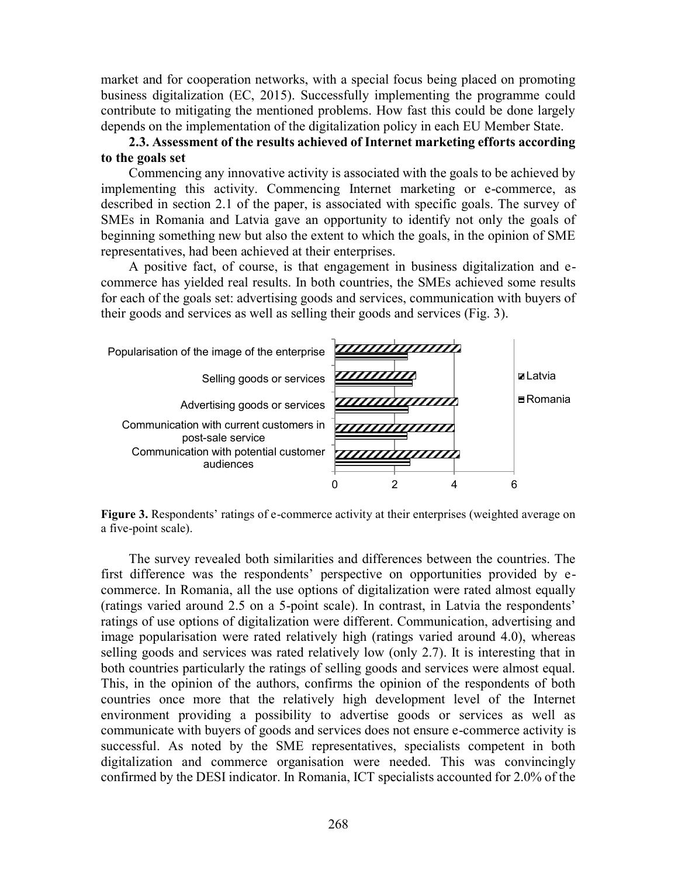market and for cooperation networks, with a special focus being placed on promoting business digitalization (EC, 2015). Successfully implementing the programme could contribute to mitigating the mentioned problems. How fast this could be done largely depends on the implementation of the digitalization policy in each EU Member State.

# 2.3. Assessment of the results achieved of Internet marketing efforts according to the goals set

Commencing any innovative activity is associated with the goals to be achieved by implementing this activity. Commencing Internet marketing or e-commerce, as described in section 2.1 of the paper, is associated with specific goals. The survey of SMEs in Romania and Latvia gave an opportunity to identify not only the goals of beginning something new but also the extent to which the goals, in the opinion of SME representatives, had been achieved at their enterprises.

A positive fact, of course, is that engagement in business digitalization and ecommerce has yielded real results. In both countries, the SMEs achieved some results for each of the goals set: advertising goods and services, communication with buyers of their goods and services as well as selling their goods and services (Fig. 3).



Figure 3. Respondents' ratings of e-commerce activity at their enterprises (weighted average on a five-point scale).

The survey revealed both similarities and differences between the countries. The first difference was the respondents' perspective on opportunities provided by ecommerce. In Romania, all the use options of digitalization were rated almost equally (ratings varied around 2.5 on a 5-point scale). In contrast, in Latvia the respondents' ratings of use options of digitalization were different. Communication, advertising and image popularisation were rated relatively high (ratings varied around 4.0), whereas selling goods and services was rated relatively low (only 2.7). It is interesting that in both countries particularly the ratings of selling goods and services were almost equal. This, in the opinion of the authors, confirms the opinion of the respondents of both countries once more that the relatively high development level of the Internet environment providing a possibility to advertise goods or services as well as communicate with buyers of goods and services does not ensure e-commerce activity is successful. As noted by the SME representatives, specialists competent in both digitalization and commerce organisation were needed. This was convincingly confirmed by the DESI indicator. In Romania, ICT specialists accounted for 2.0% of the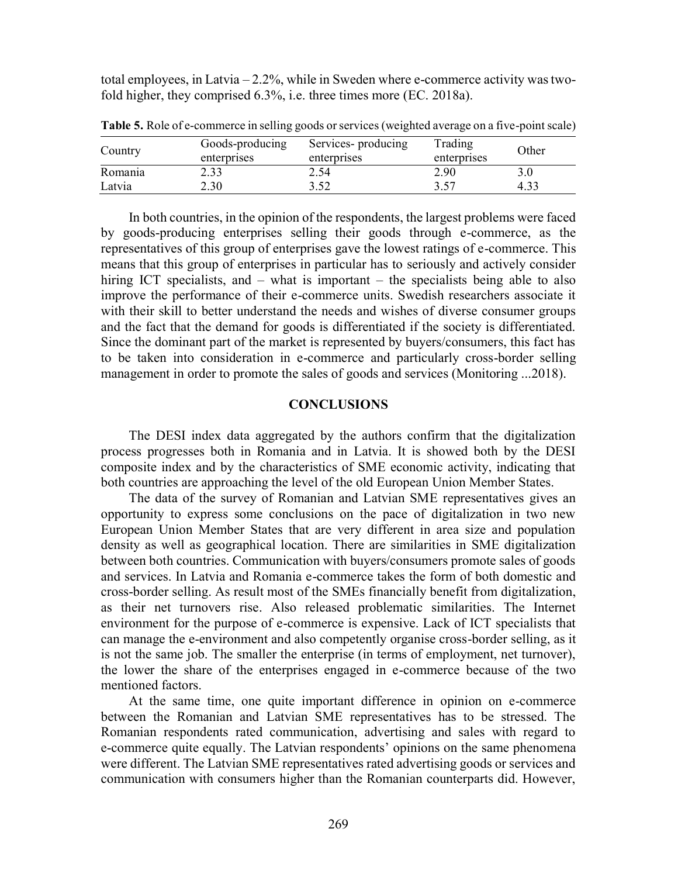total employees, in Latvia – 2.2%, while in Sweden where e-commerce activity was twofold higher, they comprised 6.3%, i.e. three times more (EC. 2018a).

| Country | Goods-producing | Services- producing | Trading     | Other |  |
|---------|-----------------|---------------------|-------------|-------|--|
|         | enterprises     | enterprises         | enterprises |       |  |
| Romania | 2.33            | 2.54                | 2.90        |       |  |
| Latvia  | 2.30            | ר ג                 | 2.57        |       |  |

Table 5. Role of e-commerce in selling goods or services (weighted average on a five-point scale)

In both countries, in the opinion of the respondents, the largest problems were faced by goods-producing enterprises selling their goods through e-commerce, as the representatives of this group of enterprises gave the lowest ratings of e-commerce. This means that this group of enterprises in particular has to seriously and actively consider hiring ICT specialists, and – what is important – the specialists being able to also improve the performance of their e-commerce units. Swedish researchers associate it with their skill to better understand the needs and wishes of diverse consumer groups and the fact that the demand for goods is differentiated if the society is differentiated. Since the dominant part of the market is represented by buyers/consumers, this fact has to be taken into consideration in e-commerce and particularly cross-border selling management in order to promote the sales of goods and services (Monitoring ...2018).

### **CONCLUSIONS**

The DESI index data aggregated by the authors confirm that the digitalization process progresses both in Romania and in Latvia. It is showed both by the DESI composite index and by the characteristics of SME economic activity, indicating that both countries are approaching the level of the old European Union Member States.

The data of the survey of Romanian and Latvian SME representatives gives an opportunity to express some conclusions on the pace of digitalization in two new European Union Member States that are very different in area size and population density as well as geographical location. There are similarities in SME digitalization between both countries. Communication with buyers/consumers promote sales of goods and services. In Latvia and Romania e-commerce takes the form of both domestic and cross-border selling. As result most of the SMEs financially benefit from digitalization, as their net turnovers rise. Also released problematic similarities. The Internet environment for the purpose of e-commerce is expensive. Lack of ICT specialists that can manage the e-environment and also competently organise cross-border selling, as it is not the same job. The smaller the enterprise (in terms of employment, net turnover), the lower the share of the enterprises engaged in e-commerce because of the two mentioned factors.

At the same time, one quite important difference in opinion on e-commerce between the Romanian and Latvian SME representatives has to be stressed. The Romanian respondents rated communication, advertising and sales with regard to e-commerce quite equally. The Latvian respondents' opinions on the same phenomena were different. The Latvian SME representatives rated advertising goods or services and communication with consumers higher than the Romanian counterparts did. However,